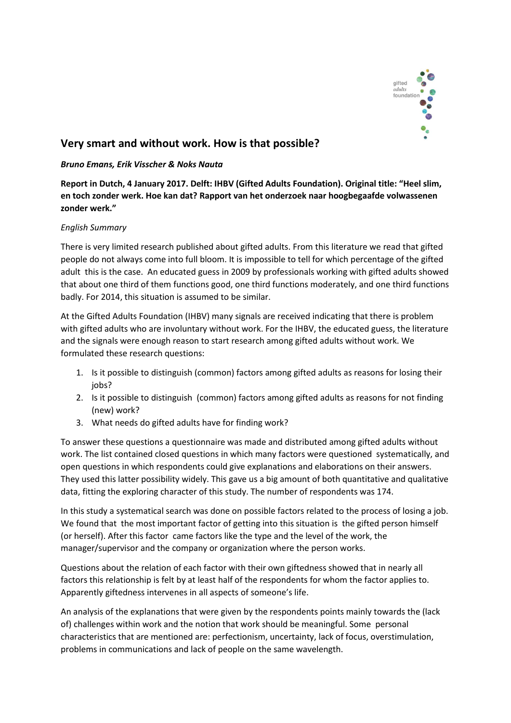

## Very smart and without work. How is that possible?

## *Bruno Emans, Erik Visscher & Noks Nauta*

Report in Dutch, 4 January 2017. Delft: IHBV (Gifted Adults Foundation). Original title: "Heel slim, en toch zonder werk. Hoe kan dat? Rapport van het onderzoek naar hoogbegaafde volwassenen zonder werk."

## *English Summary*

There is very limited research published about gifted adults. From this literature we read that gifted people do not always come into full bloom. It is impossible to tell for which percentage of the gifted adult this is the case. An educated guess in 2009 by professionals working with gifted adults showed that about one third of them functions good, one third functions moderately, and one third functions badly. For 2014, this situation is assumed to be similar.

At the Gifted Adults Foundation (IHBV) many signals are received indicating that there is problem with gifted adults who are involuntary without work. For the IHBV, the educated guess, the literature and the signals were enough reason to start research among gifted adults without work. We formulated these research questions:

- 1. Is it possible to distinguish (common) factors among gifted adults as reasons for losing their jobs?
- 2. Is it possible to distinguish (common) factors among gifted adults as reasons for not finding (new) work?
- 3. What needs do gifted adults have for finding work?

To answer these questions a questionnaire was made and distributed among gifted adults without work. The list contained closed questions in which many factors were questioned systematically, and open questions in which respondents could give explanations and elaborations on their answers. They used this latter possibility widely. This gave us a big amount of both quantitative and qualitative data, fitting the exploring character of this study. The number of respondents was 174.

In this study a systematical search was done on possible factors related to the process of losing a job. We found that the most important factor of getting into this situation is the gifted person himself (or herself). After this factor came factors like the type and the level of the work, the manager/supervisor and the company or organization where the person works.

Questions about the relation of each factor with their own giftedness showed that in nearly all factors this relationship is felt by at least half of the respondents for whom the factor applies to. Apparently giftedness intervenes in all aspects of someone's life.

An analysis of the explanations that were given by the respondents points mainly towards the (lack of) challenges within work and the notion that work should be meaningful. Some personal characteristics that are mentioned are: perfectionism, uncertainty, lack of focus, overstimulation, problems in communications and lack of people on the same wavelength.